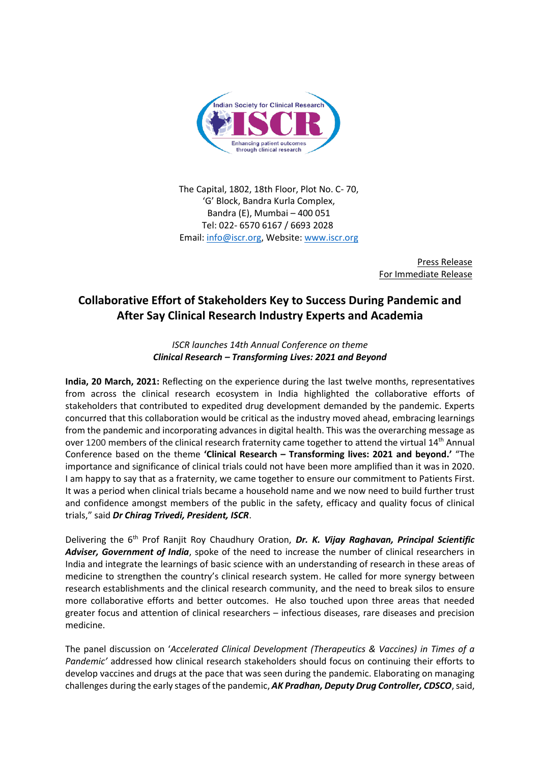

The Capital, 1802, 18th Floor, Plot No. C- 70, 'G' Block, Bandra Kurla Complex, Bandra (E), Mumbai – 400 051 Tel: 022- 6570 6167 / 6693 2028 Email: [info@iscr.org,](mailto:info@iscr.org) Website: www.iscr.org

> Press Release For Immediate Release

## **Collaborative Effort of Stakeholders Key to Success During Pandemic and After Say Clinical Research Industry Experts and Academia**

*ISCR launches 14th Annual Conference on theme Clinical Research – Transforming Lives: 2021 and Beyond*

**India, 20 March, 2021:** Reflecting on the experience during the last twelve months, representatives from across the clinical research ecosystem in India highlighted the collaborative efforts of stakeholders that contributed to expedited drug development demanded by the pandemic. Experts concurred that this collaboration would be critical as the industry moved ahead, embracing learnings from the pandemic and incorporating advances in digital health. This was the overarching message as over 1200 members of the clinical research fraternity came together to attend the virtual 14<sup>th</sup> Annual Conference based on the theme **'Clinical Research – Transforming lives: 2021 and beyond.'** "The importance and significance of clinical trials could not have been more amplified than it was in 2020. I am happy to say that as a fraternity, we came together to ensure our commitment to Patients First. It was a period when clinical trials became a household name and we now need to build further trust and confidence amongst members of the public in the safety, efficacy and quality focus of clinical trials," said *Dr Chirag Trivedi, President, ISCR*.

Delivering the 6<sup>th</sup> Prof Ranjit Roy Chaudhury Oration, *Dr. K. Vijay Raghavan, Principal Scientific Adviser, Government of India*, spoke of the need to increase the number of clinical researchers in India and integrate the learnings of basic science with an understanding of research in these areas of medicine to strengthen the country's clinical research system. He called for more synergy between research establishments and the clinical research community, and the need to break silos to ensure more collaborative efforts and better outcomes. He also touched upon three areas that needed greater focus and attention of clinical researchers – infectious diseases, rare diseases and precision medicine.

The panel discussion on '*Accelerated Clinical Development (Therapeutics & Vaccines) in Times of a Pandemic'* addressed how clinical research stakeholders should focus on continuing their efforts to develop vaccines and drugs at the pace that was seen during the pandemic. Elaborating on managing challenges during the early stages of the pandemic, *AK Pradhan, Deputy Drug Controller, CDSCO*, said,